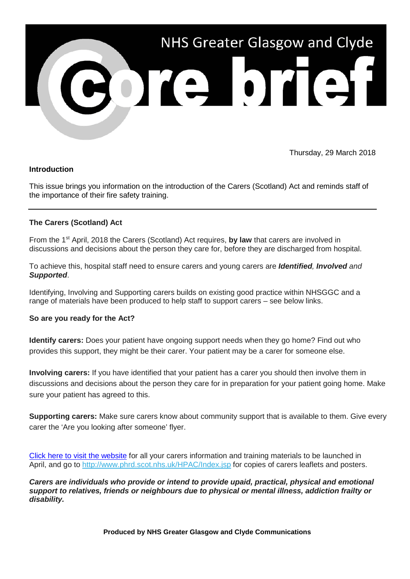

Thursday, 29 March 2018

## **Introduction**

This issue brings you information on the introduction of the Carers (Scotland) Act and reminds staff of the importance of their fire safety training.

### **The Carers (Scotland) Act**

From the 1<sup>st</sup> April, 2018 the Carers (Scotland) Act requires, **by law** that carers are involved in discussions and decisions about the person they care for, before they are discharged from hospital.

To achieve this, hospital staff need to ensure carers and young carers are *Identified, Involved and Supported*.

Identifying, Involving and Supporting carers builds on existing good practice within NHSGGC and a range of materials have been produced to help staff to support carers – see below links.

#### **So are you ready for the Act?**

**Identify carers:** Does your patient have ongoing support needs when they go home? Find out who provides this support, they might be their carer. Your patient may be a carer for someone else.

**Involving carers:** If you have identified that your patient has a carer you should then involve them in discussions and decisions about the person they care for in preparation for your patient going home. Make sure your patient has agreed to this.

**Supporting carers:** Make sure carers know about community support that is available to them. Give every carer the 'Are you looking after someone' flyer.

[Click here to visit the website](http://www.nhsggc.org.uk/your-health/health-services/carers/?utm_source=Core_Brief&utm_medium=email&utm_campaign=CB_Carers_Act) for all your carers information and training materials to be launched in April, and go to [http://www.phrd.scot.nhs.uk/HPAC/Index.jsp](https://nhsggc.us12.list-manage.com/track/click?u=0f385b5aea37eaf0213bd19fb&id=f34b097720&e=5af5e1832c) for copies of carers leaflets and posters.

*Carers are individuals who provide or intend to provide upaid, practical, physical and emotional support to relatives, friends or neighbours due to physical or mental illness, addiction frailty or disability.*

**Produced by NHS Greater Glasgow and Clyde Communications**